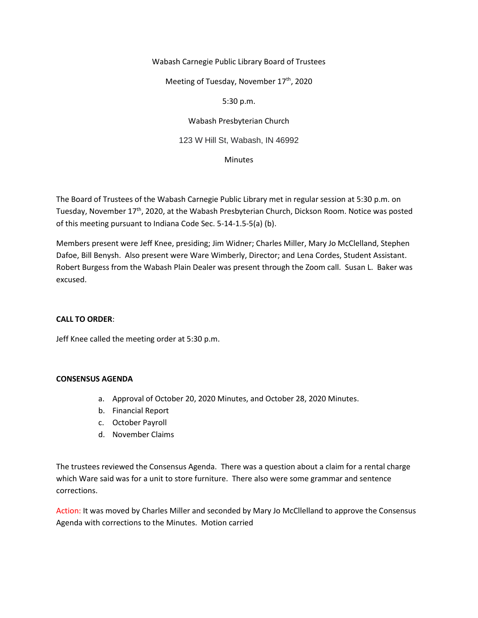### Wabash Carnegie Public Library Board of Trustees

Meeting of Tuesday, November 17<sup>th</sup>, 2020

### 5:30 p.m.

Wabash Presbyterian Church

123 W Hill St, Wabash, IN 46992

Minutes

The Board of Trustees of the Wabash Carnegie Public Library met in regular session at 5:30 p.m. on Tuesday, November 17th, 2020, at the Wabash Presbyterian Church, Dickson Room. Notice was posted of this meeting pursuant to Indiana Code Sec. 5-14-1.5-5(a) (b).

Members present were Jeff Knee, presiding; Jim Widner; Charles Miller, Mary Jo McClelland, Stephen Dafoe, Bill Benysh. Also present were Ware Wimberly, Director; and Lena Cordes, Student Assistant. Robert Burgess from the Wabash Plain Dealer was present through the Zoom call. Susan L. Baker was excused.

# **CALL TO ORDER**:

Jeff Knee called the meeting order at 5:30 p.m.

#### **CONSENSUS AGENDA**

- a. Approval of October 20, 2020 Minutes, and October 28, 2020 Minutes.
- b. Financial Report
- c. October Payroll
- d. November Claims

The trustees reviewed the Consensus Agenda. There was a question about a claim for a rental charge which Ware said was for a unit to store furniture. There also were some grammar and sentence corrections.

Action: It was moved by Charles Miller and seconded by Mary Jo McCllelland to approve the Consensus Agenda with corrections to the Minutes. Motion carried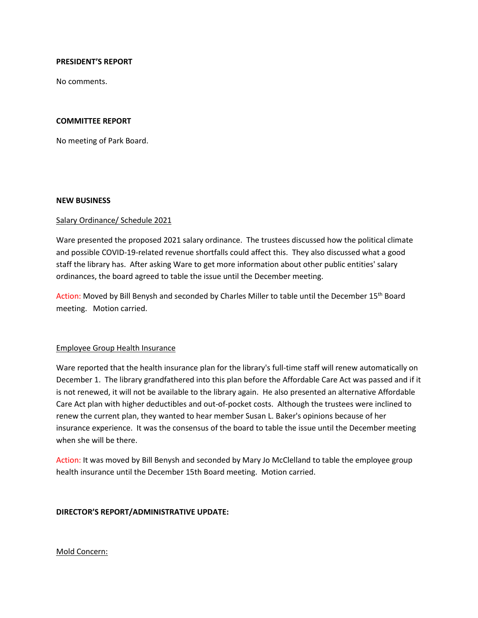### **PRESIDENT'S REPORT**

No comments.

### **COMMITTEE REPORT**

No meeting of Park Board.

#### **NEW BUSINESS**

#### Salary Ordinance/ Schedule 2021

Ware presented the proposed 2021 salary ordinance. The trustees discussed how the political climate and possible COVID-19-related revenue shortfalls could affect this. They also discussed what a good staff the library has. After asking Ware to get more information about other public entities' salary ordinances, the board agreed to table the issue until the December meeting.

Action: Moved by Bill Benysh and seconded by Charles Miller to table until the December 15<sup>th</sup> Board meeting. Motion carried.

#### Employee Group Health Insurance

Ware reported that the health insurance plan for the library's full-time staff will renew automatically on December 1. The library grandfathered into this plan before the Affordable Care Act was passed and if it is not renewed, it will not be available to the library again. He also presented an alternative Affordable Care Act plan with higher deductibles and out-of-pocket costs. Although the trustees were inclined to renew the current plan, they wanted to hear member Susan L. Baker's opinions because of her insurance experience. It was the consensus of the board to table the issue until the December meeting when she will be there.

Action: It was moved by Bill Benysh and seconded by Mary Jo McClelland to table the employee group health insurance until the December 15th Board meeting. Motion carried.

# **DIRECTOR'S REPORT/ADMINISTRATIVE UPDATE:**

#### Mold Concern: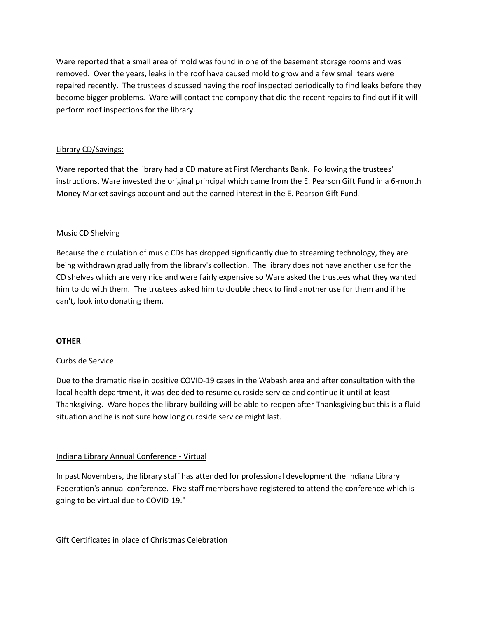Ware reported that a small area of mold was found in one of the basement storage rooms and was removed. Over the years, leaks in the roof have caused mold to grow and a few small tears were repaired recently. The trustees discussed having the roof inspected periodically to find leaks before they become bigger problems. Ware will contact the company that did the recent repairs to find out if it will perform roof inspections for the library.

# Library CD/Savings:

Ware reported that the library had a CD mature at First Merchants Bank. Following the trustees' instructions, Ware invested the original principal which came from the E. Pearson Gift Fund in a 6-month Money Market savings account and put the earned interest in the E. Pearson Gift Fund.

# Music CD Shelving

Because the circulation of music CDs has dropped significantly due to streaming technology, they are being withdrawn gradually from the library's collection. The library does not have another use for the CD shelves which are very nice and were fairly expensive so Ware asked the trustees what they wanted him to do with them. The trustees asked him to double check to find another use for them and if he can't, look into donating them.

# **OTHER**

# Curbside Service

Due to the dramatic rise in positive COVID-19 cases in the Wabash area and after consultation with the local health department, it was decided to resume curbside service and continue it until at least Thanksgiving. Ware hopes the library building will be able to reopen after Thanksgiving but this is a fluid situation and he is not sure how long curbside service might last.

# Indiana Library Annual Conference - Virtual

In past Novembers, the library staff has attended for professional development the Indiana Library Federation's annual conference. Five staff members have registered to attend the conference which is going to be virtual due to COVID-19."

# Gift Certificates in place of Christmas Celebration